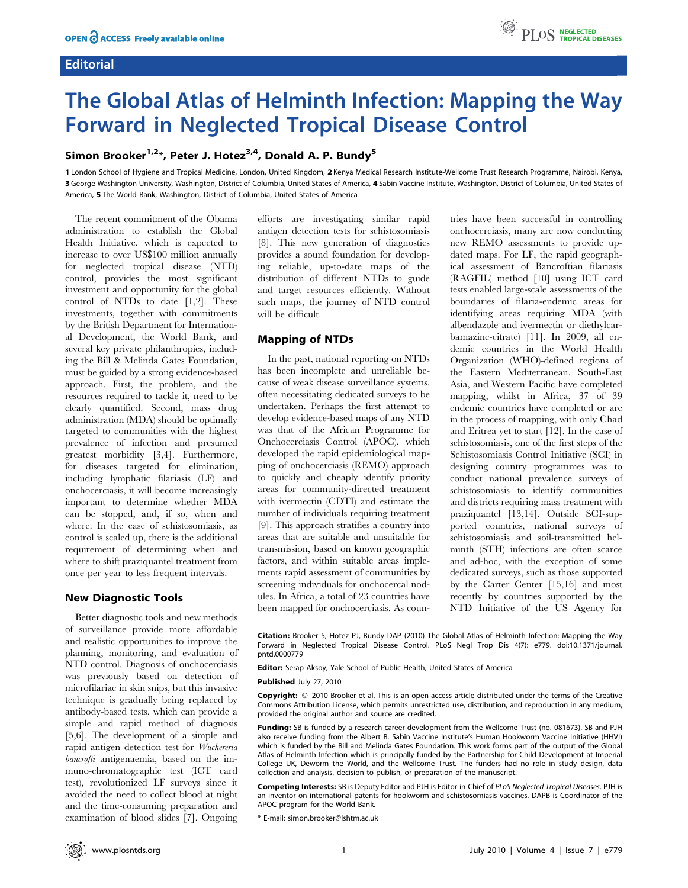### **Editorial**



# The Global Atlas of Helminth Infection: Mapping the Way Forward in Neglected Tropical Disease Control

## Simon Brooker<sup>1,2\*</sup>, Peter J. Hotez<sup>3,4</sup>, Donald A. P. Bundy<sup>5</sup>

1 London School of Hygiene and Tropical Medicine, London, United Kingdom, 2 Kenya Medical Research Institute-Wellcome Trust Research Programme, Nairobi, Kenya, 3 George Washington University, Washington, District of Columbia, United States of America, 4 Sabin Vaccine Institute, Washington, District of Columbia, United States of America, 5 The World Bank, Washington, District of Columbia, United States of America

The recent commitment of the Obama administration to establish the Global Health Initiative, which is expected to increase to over US\$100 million annually for neglected tropical disease (NTD) control, provides the most significant investment and opportunity for the global control of NTDs to date [1,2]. These investments, together with commitments by the British Department for International Development, the World Bank, and several key private philanthropies, including the Bill & Melinda Gates Foundation, must be guided by a strong evidence-based approach. First, the problem, and the resources required to tackle it, need to be clearly quantified. Second, mass drug administration (MDA) should be optimally targeted to communities with the highest prevalence of infection and presumed greatest morbidity [3,4]. Furthermore, for diseases targeted for elimination, including lymphatic filariasis (LF) and onchocerciasis, it will become increasingly important to determine whether MDA can be stopped, and, if so, when and where. In the case of schistosomiasis, as control is scaled up, there is the additional requirement of determining when and where to shift praziquantel treatment from once per year to less frequent intervals.

#### New Diagnostic Tools

Better diagnostic tools and new methods of surveillance provide more affordable and realistic opportunities to improve the planning, monitoring, and evaluation of NTD control. Diagnosis of onchocerciasis was previously based on detection of microfilariae in skin snips, but this invasive technique is gradually being replaced by antibody-based tests, which can provide a simple and rapid method of diagnosis [5,6]. The development of a simple and rapid antigen detection test for Wuchereria bancrofti antigenaemia, based on the immuno-chromatographic test (ICT card test), revolutionized LF surveys since it avoided the need to collect blood at night and the time-consuming preparation and examination of blood slides [7]. Ongoing

efforts are investigating similar rapid antigen detection tests for schistosomiasis [8]. This new generation of diagnostics provides a sound foundation for developing reliable, up-to-date maps of the distribution of different NTDs to guide and target resources efficiently. Without such maps, the journey of NTD control will be difficult.

#### Mapping of NTDs

In the past, national reporting on NTDs has been incomplete and unreliable because of weak disease surveillance systems, often necessitating dedicated surveys to be undertaken. Perhaps the first attempt to develop evidence-based maps of any NTD was that of the African Programme for Onchocerciasis Control (APOC), which developed the rapid epidemiological mapping of onchocerciasis (REMO) approach to quickly and cheaply identify priority areas for community-directed treatment with ivermectin (CDTI) and estimate the number of individuals requiring treatment [9]. This approach stratifies a country into areas that are suitable and unsuitable for transmission, based on known geographic factors, and within suitable areas implements rapid assessment of communities by screening individuals for onchocercal nodules. In Africa, a total of 23 countries have been mapped for onchocerciasis. As countries have been successful in controlling onchocerciasis, many are now conducting new REMO assessments to provide updated maps. For LF, the rapid geographical assessment of Bancroftian filariasis (RAGFIL) method [10] using ICT card tests enabled large-scale assessments of the boundaries of filaria-endemic areas for identifying areas requiring MDA (with albendazole and ivermectin or diethylcarbamazine-citrate) [11]. In 2009, all endemic countries in the World Health Organization (WHO)-defined regions of the Eastern Mediterranean, South-East Asia, and Western Pacific have completed mapping, whilst in Africa, 37 of 39 endemic countries have completed or are in the process of mapping, with only Chad and Eritrea yet to start [12]. In the case of schistosomiasis, one of the first steps of the Schistosomiasis Control Initiative (SCI) in designing country programmes was to conduct national prevalence surveys of schistosomiasis to identify communities and districts requiring mass treatment with praziquantel [13,14]. Outside SCI-supported countries, national surveys of schistosomiasis and soil-transmitted helminth (STH) infections are often scarce and ad-hoc, with the exception of some dedicated surveys, such as those supported by the Carter Center [15,16] and most recently by countries supported by the NTD Initiative of the US Agency for

Citation: Brooker S, Hotez PJ, Bundy DAP (2010) The Global Atlas of Helminth Infection: Mapping the Way Forward in Neglected Tropical Disease Control. PLoS Negl Trop Dis 4(7): e779. doi:10.1371/journal. pntd.0000779

Editor: Serap Aksoy, Yale School of Public Health, United States of America

#### Published July 27, 2010

Copyright:  $\oslash$  2010 Brooker et al. This is an open-access article distributed under the terms of the Creative Commons Attribution License, which permits unrestricted use, distribution, and reproduction in any medium, provided the original author and source are credited.

Funding: SB is funded by a research career development from the Wellcome Trust (no. 081673). SB and PJH also receive funding from the Albert B. Sabin Vaccine Institute's Human Hookworm Vaccine Initiative (HHVI) which is funded by the Bill and Melinda Gates Foundation. This work forms part of the output of the Global Atlas of Helminth Infection which is principally funded by the Partnership for Child Development at Imperial College UK, Deworm the World, and the Wellcome Trust. The funders had no role in study design, data collection and analysis, decision to publish, or preparation of the manuscript.

Competing Interests: SB is Deputy Editor and PJH is Editor-in-Chief of PLoS Neglected Tropical Diseases. PJH is an inventor on international patents for hookworm and schistosomiasis vaccines. DAPB is Coordinator of the APOC program for the World Bank.

\* E-mail: simon.brooker@lshtm.ac.uk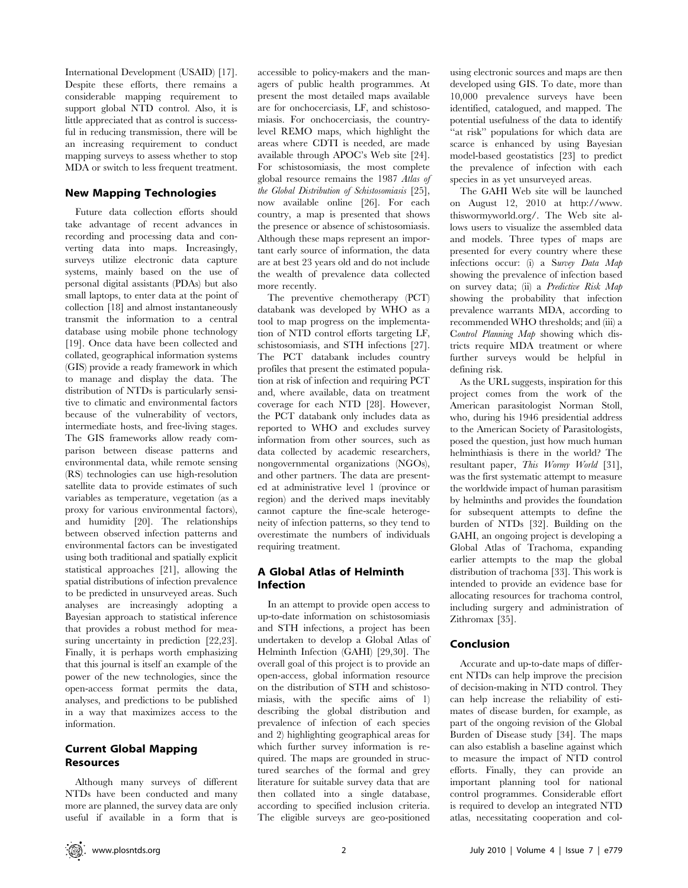International Development (USAID) [17]. Despite these efforts, there remains a considerable mapping requirement to support global NTD control. Also, it is little appreciated that as control is successful in reducing transmission, there will be an increasing requirement to conduct mapping surveys to assess whether to stop MDA or switch to less frequent treatment.

#### New Mapping Technologies

Future data collection efforts should take advantage of recent advances in recording and processing data and converting data into maps. Increasingly, surveys utilize electronic data capture systems, mainly based on the use of personal digital assistants (PDAs) but also small laptops, to enter data at the point of collection [18] and almost instantaneously transmit the information to a central database using mobile phone technology [19]. Once data have been collected and collated, geographical information systems (GIS) provide a ready framework in which to manage and display the data. The distribution of NTDs is particularly sensitive to climatic and environmental factors because of the vulnerability of vectors, intermediate hosts, and free-living stages. The GIS frameworks allow ready comparison between disease patterns and environmental data, while remote sensing (RS) technologies can use high-resolution satellite data to provide estimates of such variables as temperature, vegetation (as a proxy for various environmental factors), and humidity [20]. The relationships between observed infection patterns and environmental factors can be investigated using both traditional and spatially explicit statistical approaches [21], allowing the spatial distributions of infection prevalence to be predicted in unsurveyed areas. Such analyses are increasingly adopting a Bayesian approach to statistical inference that provides a robust method for measuring uncertainty in prediction [22,23]. Finally, it is perhaps worth emphasizing that this journal is itself an example of the power of the new technologies, since the open-access format permits the data, analyses, and predictions to be published in a way that maximizes access to the information.

#### Current Global Mapping Resources

Although many surveys of different NTDs have been conducted and many more are planned, the survey data are only useful if available in a form that is accessible to policy-makers and the managers of public health programmes. At present the most detailed maps available are for onchocerciasis, LF, and schistosomiasis. For onchocerciasis, the countrylevel REMO maps, which highlight the areas where CDTI is needed, are made available through APOC's Web site [24]. For schistosomiasis, the most complete global resource remains the 1987 Atlas of the Global Distribution of Schistosomiasis [25], now available online [26]. For each country, a map is presented that shows the presence or absence of schistosomiasis. Although these maps represent an important early source of information, the data are at best 23 years old and do not include the wealth of prevalence data collected more recently.

The preventive chemotherapy (PCT) databank was developed by WHO as a tool to map progress on the implementation of NTD control efforts targeting LF, schistosomiasis, and STH infections [27]. The PCT databank includes country profiles that present the estimated population at risk of infection and requiring PCT and, where available, data on treatment coverage for each NTD [28]. However, the PCT databank only includes data as reported to WHO and excludes survey information from other sources, such as data collected by academic researchers, nongovernmental organizations (NGOs), and other partners. The data are presented at administrative level 1 (province or region) and the derived maps inevitably cannot capture the fine-scale heterogeneity of infection patterns, so they tend to overestimate the numbers of individuals requiring treatment.

#### A Global Atlas of Helminth Infection

In an attempt to provide open access to up-to-date information on schistosomiasis and STH infections, a project has been undertaken to develop a Global Atlas of Helminth Infection (GAHI) [29,30]. The overall goal of this project is to provide an open-access, global information resource on the distribution of STH and schistosomiasis, with the specific aims of 1) describing the global distribution and prevalence of infection of each species and 2) highlighting geographical areas for which further survey information is required. The maps are grounded in structured searches of the formal and grey literature for suitable survey data that are then collated into a single database, according to specified inclusion criteria. The eligible surveys are geo-positioned

using electronic sources and maps are then developed using GIS. To date, more than 10,000 prevalence surveys have been identified, catalogued, and mapped. The potential usefulness of the data to identify "at risk" populations for which data are scarce is enhanced by using Bayesian model-based geostatistics [23] to predict the prevalence of infection with each species in as yet unsurveyed areas.

The GAHI Web site will be launched on August 12, 2010 at http://www. thiswormyworld.org/. The Web site allows users to visualize the assembled data and models. Three types of maps are presented for every country where these infections occur: (i) a Survey Data Map showing the prevalence of infection based on survey data; (ii) a Predictive Risk Map showing the probability that infection prevalence warrants MDA, according to recommended WHO thresholds; and (iii) a Control Planning Map showing which districts require MDA treatment or where further surveys would be helpful in defining risk.

As the URL suggests, inspiration for this project comes from the work of the American parasitologist Norman Stoll, who, during his 1946 presidential address to the American Society of Parasitologists, posed the question, just how much human helminthiasis is there in the world? The resultant paper, This Wormy World [31], was the first systematic attempt to measure the worldwide impact of human parasitism by helminths and provides the foundation for subsequent attempts to define the burden of NTDs [32]. Building on the GAHI, an ongoing project is developing a Global Atlas of Trachoma, expanding earlier attempts to the map the global distribution of trachoma [33]. This work is intended to provide an evidence base for allocating resources for trachoma control, including surgery and administration of Zithromax [35].

#### Conclusion

Accurate and up-to-date maps of different NTDs can help improve the precision of decision-making in NTD control. They can help increase the reliability of estimates of disease burden, for example, as part of the ongoing revision of the Global Burden of Disease study [34]. The maps can also establish a baseline against which to measure the impact of NTD control efforts. Finally, they can provide an important planning tool for national control programmes. Considerable effort is required to develop an integrated NTD atlas, necessitating cooperation and col